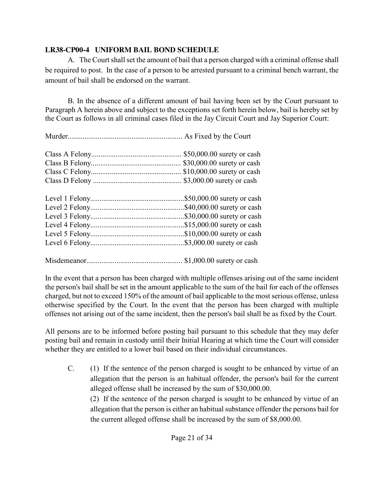## **LR38-CP00-4 UNIFORM BAIL BOND SCHEDULE**

A. The Court shall set the amount of bail that a person charged with a criminal offense shall be required to post. In the case of a person to be arrested pursuant to a criminal bench warrant, the amount of bail shall be endorsed on the warrant.

B. In the absence of a different amount of bail having been set by the Court pursuant to Paragraph A herein above and subject to the exceptions set forth herein below, bail is hereby set by the Court as follows in all criminal cases filed in the Jay Circuit Court and Jay Superior Court:

| \$50,000.00 surety or cash |
|----------------------------|
| \$30,000.00 surety or cash |
|                            |
|                            |
| \$50,000.00 surety or cash |
| \$40,000.00 surety or cash |
| \$30,000.00 surety or cash |
| \$15,000.00 surety or cash |
|                            |
|                            |
| $$1,000.00$ surety or cash |

In the event that a person has been charged with multiple offenses arising out of the same incident the person's bail shall be set in the amount applicable to the sum of the bail for each of the offenses charged, but not to exceed 150% of the amount of bail applicable to the most serious offense, unless otherwise specified by the Court. In the event that the person has been charged with multiple offenses not arising out of the same incident, then the person's bail shall be as fixed by the Court.

All persons are to be informed before posting bail pursuant to this schedule that they may defer posting bail and remain in custody until their Initial Hearing at which time the Court will consider whether they are entitled to a lower bail based on their individual circumstances.

C. (1) If the sentence of the person charged is sought to be enhanced by virtue of an allegation that the person is an habitual offender, the person's bail for the current alleged offense shall be increased by the sum of \$30,000.00.

 (2) If the sentence of the person charged is sought to be enhanced by virtue of an allegation that the person is either an habitual substance offender the persons bail for the current alleged offense shall be increased by the sum of \$8,000.00.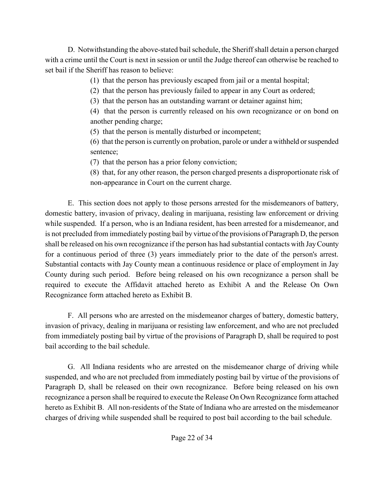D. Notwithstanding the above-stated bail schedule, the Sheriff shall detain a person charged with a crime until the Court is next in session or until the Judge thereof can otherwise be reached to set bail if the Sheriff has reason to believe:

(1) that the person has previously escaped from jail or a mental hospital;

(2) that the person has previously failed to appear in any Court as ordered;

(3) that the person has an outstanding warrant or detainer against him;

(4) that the person is currently released on his own recognizance or on bond on another pending charge;

(5) that the person is mentally disturbed or incompetent;

(6) that the person is currently on probation, parole or under a withheld or suspended sentence;

(7) that the person has a prior felony conviction;

(8) that, for any other reason, the person charged presents a disproportionate risk of non-appearance in Court on the current charge.

E. This section does not apply to those persons arrested for the misdemeanors of battery, domestic battery, invasion of privacy, dealing in marijuana, resisting law enforcement or driving while suspended. If a person, who is an Indiana resident, has been arrested for a misdemeanor, and is not precluded from immediately posting bail by virtue of the provisions of Paragraph D, the person shall be released on his own recognizance if the person has had substantial contacts with Jay County for a continuous period of three (3) years immediately prior to the date of the person's arrest. Substantial contacts with Jay County mean a continuous residence or place of employment in Jay County during such period. Before being released on his own recognizance a person shall be required to execute the Affidavit attached hereto as Exhibit A and the Release On Own Recognizance form attached hereto as Exhibit B.

F. All persons who are arrested on the misdemeanor charges of battery, domestic battery, invasion of privacy, dealing in marijuana or resisting law enforcement, and who are not precluded from immediately posting bail by virtue of the provisions of Paragraph D, shall be required to post bail according to the bail schedule.

G. All Indiana residents who are arrested on the misdemeanor charge of driving while suspended, and who are not precluded from immediately posting bail by virtue of the provisions of Paragraph D, shall be released on their own recognizance. Before being released on his own recognizance a person shall be required to execute the Release On Own Recognizance form attached hereto as Exhibit B. All non-residents of the State of Indiana who are arrested on the misdemeanor charges of driving while suspended shall be required to post bail according to the bail schedule.